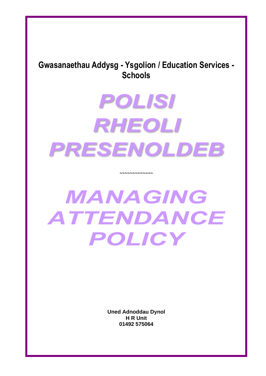# **Gwasanaethau Addysg - Ysgolion / Education Services - Schools**

# **POLISI** RHEOLI PRESENOLDEB

~~~~~~~~~~~~~

# MANAGING ATTENDANCE POLICY

**Uned Adnoddau Dynol H R Unit 01492 575064**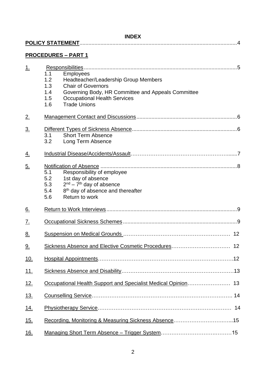## **INDEX**

|                   | <b>PROCEDURES - PART 1</b>                                                                                                                                                                                                                          |
|-------------------|-----------------------------------------------------------------------------------------------------------------------------------------------------------------------------------------------------------------------------------------------------|
| 1.                | 1.1<br><b>Employees</b><br>1.2<br>Headteacher/Leadership Group Members<br><b>Chair of Governors</b><br>1.3<br>Governing Body, HR Committee and Appeals Committee<br>1.4<br><b>Occupational Health Services</b><br>1.5<br><b>Trade Unions</b><br>1.6 |
| 2.                |                                                                                                                                                                                                                                                     |
| $\underline{3}$ . | <b>Short Term Absence</b><br>3.1<br>3.2<br>Long Term Absence                                                                                                                                                                                        |
| <u>4.</u>         |                                                                                                                                                                                                                                                     |
| <u>5.</u>         | 5.1<br>Responsibility of employee<br>5.2<br>1st day of absence<br>$2nd - 7th$ day of absence<br>5.3<br>8 <sup>th</sup> day of absence and thereafter<br>5.4<br>Return to work<br>5.6                                                                |
| <u>6.</u>         |                                                                                                                                                                                                                                                     |
| <u>Z.</u>         |                                                                                                                                                                                                                                                     |
| 8.                |                                                                                                                                                                                                                                                     |
| <u>9.</u>         |                                                                                                                                                                                                                                                     |
| <u>10.</u>        |                                                                                                                                                                                                                                                     |
| <u>11.</u>        |                                                                                                                                                                                                                                                     |
| <u>12.</u>        |                                                                                                                                                                                                                                                     |
| <u>13.</u>        |                                                                                                                                                                                                                                                     |
| <u>14.</u>        | 14                                                                                                                                                                                                                                                  |
| <u>15.</u>        |                                                                                                                                                                                                                                                     |
| <u>16.</u>        |                                                                                                                                                                                                                                                     |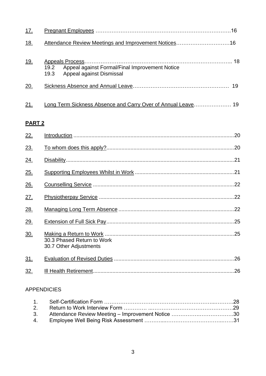| 17.        |                                                                                                      |  |
|------------|------------------------------------------------------------------------------------------------------|--|
| <u>18.</u> |                                                                                                      |  |
| <u>19.</u> | Appeal against Formal/Final Improvement Notice<br>$19.2^{\circ}$<br>Appeal against Dismissal<br>19.3 |  |
| 20.        |                                                                                                      |  |
| 21.        | Long Term Sickness Absence and Carry Over of Annual Leave 19                                         |  |

# **PART 2**

| 22.        | .20                                                  |
|------------|------------------------------------------------------|
| 23.        |                                                      |
| 24.        |                                                      |
| 25.        |                                                      |
| 26.        |                                                      |
| 27.        |                                                      |
| 28.        |                                                      |
| 29.        |                                                      |
| 30.        | 30.3 Phased Return to Work<br>30.7 Other Adjustments |
| <u>31.</u> |                                                      |
| <u>32.</u> |                                                      |
|            |                                                      |

# APPENDICIES

| 3. Attendance Review Meeting - Improvement Notice 30 |  |
|------------------------------------------------------|--|
|                                                      |  |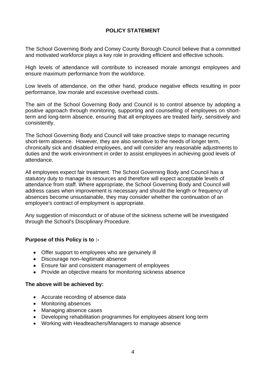## **POLICY STATEMENT**

The School Governing Body and Conwy County Borough Council believe that a committed and motivated workforce plays a key role in providing efficient and effective schools.

High levels of attendance will contribute to increased morale amongst employees and ensure maximum performance from the workforce.

Low levels of attendance, on the other hand, produce negative effects resulting in poor performance, low morale and excessive overhead costs.

The aim of the School Governing Body and Council is to control absence by adopting a positive approach through monitoring, supporting and counselling of employees on shortterm and long-term absence, ensuring that all employees are treated fairly, sensitively and consistently.

The School Governing Body and Council will take proactive steps to manage recurring short-term absence. However, they are also sensitive to the needs of longer term, chronically sick and disabled employees, and will consider any reasonable adjustments to duties and the work environment in order to assist employees in achieving good levels of attendance.

All employees expect fair treatment. The School Governing Body and Council has a statutory duty to manage its resources and therefore will expect acceptable levels of attendance from staff. Where appropriate, the School Governing Body and Council will address cases when improvement is necessary and should the length or frequency of absences become unsustainable, they may consider whether the continuation of an employee's contract of employment is appropriate.

Any suggestion of misconduct or of abuse of the sickness scheme will be investigated through the School's Disciplinary Procedure.

#### **Purpose of this Policy is to :-**

- Offer support to employees who are genuinely ill
- Discourage non–legitimate absence
- Ensure fair and consistent management of employees
- Provide an objective means for monitoring sickness absence

#### **The above will be achieved by:**

- Accurate recording of absence data
- Monitoring absences
- Managing absence cases
- Developing rehabilitation programmes for employees absent long term
- Working with Headteachers/Managers to manage absence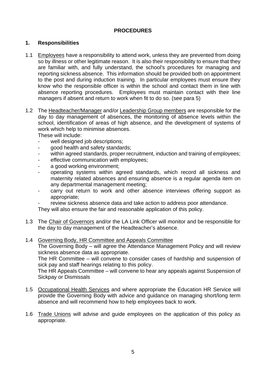#### **PROCEDURES**

#### **1. Responsibilities**

- 1.1 Employees have a responsibility to attend work, unless they are prevented from doing so by illness or other legitimate reason. It is also their responsibility to ensure that they are familiar with, and fully understand, the school's procedures for managing and reporting sickness absence. This information should be provided both on appointment to the post and during induction training. In particular employees must ensure they know who the responsible officer is within the school and contact them in line with absence reporting procedures. Employees must maintain contact with their line managers if absent and return to work when fit to do so. (see para 5)
- 1.2 The Headteacher/Manager and/or Leadership Group members are responsible for the day to day management of absences, the monitoring of absence levels within the school, identification of areas of high absence, and the development of systems of work which help to minimise absences.

These will include:

- well designed job descriptions;
- good health and safety standards;
- within agreed standards, proper recruitment, induction and training of employees;
- effective communication with employees;
- a good working environment;
- operating systems within agreed standards, which record all sickness and maternity related absences and ensuring absence is a regular agenda item on any departmental management meeting;
- carry out return to work and other absence interviews offering support as appropriate;
- review sickness absence data and take action to address poor attendance.

They will also ensure the fair and reasonable application of this policy.

1.3 The Chair of Governors and/or the LA Link Officer will monitor and be responsible for the day to day management of the Headteacher's absence.

#### 1.4 Governing Body, HR Committee and Appeals Committee

The Governing Body – will agree the Attendance Management Policy and will review sickness absence data as appropriate.

The HR Committee – will convene to consider cases of hardship and suspension of sick pay and staff hearings relating to this policy.

The HR Appeals Committee – will convene to hear any appeals against Suspension of Sickpay or Dismissals

- 1.5 Occupational Health Services and where appropriate the Education HR Service will provide the Governing Body with advice and guidance on managing short/long term absence and will recommend how to help employees back to work.
- 1.6 Trade Unions will advise and guide employees on the application of this policy as appropriate.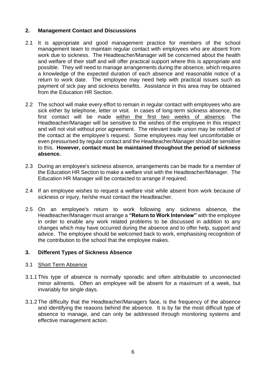#### **2. Management Contact and Discussions**

- 2.1 It is appropriate and good management practice for members of the school management team to maintain regular contact with employees who are absent from work due to sickness. The Headteacher/Manager will be concerned about the health and welfare of their staff and will offer practical support where this is appropriate and possible. They will need to manage arrangements during the absence, which requires a knowledge of the expected duration of each absence and reasonable notice of a return to work date. The employee may need help with practical issues such as payment of sick pay and sickness benefits. Assistance in this area may be obtained from the Education HR Section.
- 2.2 The school will make every effort to remain in regular contact with employees who are sick either by telephone, letter or visit. In cases of long-term sickness absence, the first contact will be made within the first two weeks of absence. The Headteacher/Manager will be sensitive to the wishes of the employee in this respect and will not visit without prior agreement. The relevant trade union may be notified of the contact at the employee's request. Some employees may feel uncomfortable or even pressurised by regular contact and the Headteacher/Manager should be sensitive to this. **However, contact must be maintained throughout the period of sickness absence.**
- 2.3 During an employee's sickness absence, arrangements can be made for a member of the Education HR Section to make a welfare visit with the Headteacher/Manager. The Education HR Manager will be contacted to arrange if required.
- 2.4 If an employee wishes to request a welfare visit while absent from work because of sickness or injury, he/she must contact the Headteacher.
- 2.5 On an employee's return to work following any sickness absence, the Headteacher/Manager must arrange a **"Return to Work Interview"** with the employee in order to enable any work related problems to be discussed in addition to any changes which may have occurred during the absence and to offer help, support and advice. The employee should be welcomed back to work, emphasising recognition of the contribution to the school that the employee makes.

#### **3. Different Types of Sickness Absence**

#### 3.1 Short Term Absence

- 3.1.1This type of absence is normally sporadic and often attributable to unconnected minor ailments. Often an employee will be absent for a maximum of a week, but invariably for single days.
- 3.1.2The difficulty that the Headteacher/Managers face, is the frequency of the absence and identifying the reasons behind the absence. It is by far the most difficult type of absence to manage, and can only be addressed through monitoring systems and effective management action.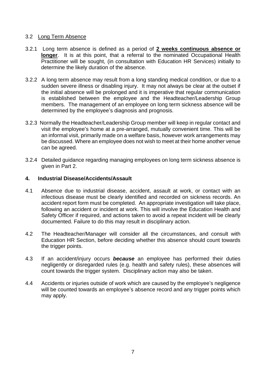#### 3.2 Long Term Absence

- 3.2.1 Long term absence is defined as a period of **2 weeks continuous absence or longer**. It is at this point, that a referral to the nominated Occupational Health Practitioner will be sought, (in consultation with Education HR Services) initially to determine the likely duration of the absence.
- 3.2.2 A long term absence may result from a long standing medical condition, or due to a sudden severe illness or disabling injury. It may not always be clear at the outset if the initial absence will be prolonged and it is imperative that regular communication is established between the employee and the Headteacher/Leadership Group members. The management of an employee on long term sickness absence will be determined by the employee's diagnosis and prognosis.
- 3.2.3 Normally the Headteacher/Leadership Group member will keep in regular contact and visit the employee's home at a pre-arranged, mutually convenient time. This will be an informal visit, primarily made on a welfare basis, however work arrangements may be discussed. Where an employee does not wish to meet at their home another venue can be agreed.
- 3.2.4 Detailed guidance regarding managing employees on long term sickness absence is given in Part 2.

#### **4. Industrial Disease/Accidents/Assault**

- 4.1 Absence due to industrial disease, accident, assault at work, or contact with an infectious disease must be clearly identified and recorded on sickness records. An accident report form must be completed. An appropriate investigation will take place, following an accident or incident at work. This will involve the Education Health and Safety Officer if required, and actions taken to avoid a repeat incident will be clearly documented. Failure to do this may result in disciplinary action.
- 4.2 The Headteacher/Manager will consider all the circumstances, and consult with Education HR Section, before deciding whether this absence should count towards the trigger points.
- 4.3 If an accident/injury occurs *because* an employee has performed their duties negligently or disregarded rules (e.g. health and safety rules), these absences will count towards the trigger system. Disciplinary action may also be taken.
- 4.4 Accidents or injuries outside of work which are caused by the employee's negligence will be counted towards an employee's absence record and any trigger points which may apply.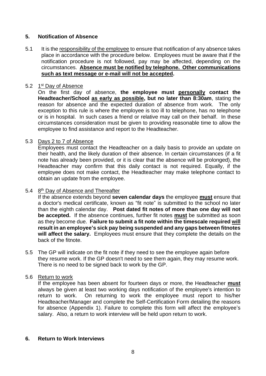## **5. Notification of Absence**

5.1 It is the responsibility of the employee to ensure that notification of any absence takes place in accordance with the procedure below. Employees must be aware that if the notification procedure is not followed, pay may be affected, depending on the circumstances. **Absence must be notified by telephone. Other communications such as text message or e-mail will not be accepted.** 

#### 5.2 1st Day of Absence

On the first day of absence, **the employee must personally contact the Headteacher/School as early as possible, but no later than 8:30am**, stating the reason for absence and the expected duration of absence from work. The only exception to this rule is where the employee is too ill to telephone, has no telephone or is in hospital. In such cases a friend or relative may call on their behalf. In these circumstances consideration must be given to providing reasonable time to allow the employee to find assistance and report to the Headteacher.

#### 5.3 Days 2 to 7 of Absence

Employees must contact the Headteacher on a daily basis to provide an update on their health, and the likely duration of their absence. In certain circumstances (if a fit note has already been provided, or it is clear that the absence will be prolonged), the Headteacher may confirm that this daily contact is not required. Equally, if the employee does not make contact, the Headteacher may make telephone contact to obtain an update from the employee.

#### 5.4 8th Day of Absence and Thereafter

If the absence extends beyond **seven calendar days** the employee **must** ensure that a doctor's medical certificate, known as "fit note" is submitted to the school no later than the eighth calendar day. **Post dated fit notes of more than one day will not be accepted.** If the absence continues, further fit notes **must** be submitted as soon as they become due. **Failure to submit a fit note within the timescale required will result in an employee's sick pay being suspended and any gaps between fitnotes will affect the salary.** Employees must ensure that they complete the details on the back of the fitnote.

5.5 The GP will indicate on the fit note if they need to see the employee again before they resume work. If the GP doesn't need to see them again, they may resume work. There is no need to be signed back to work by the GP.

#### 5.6 Return to work

If the employee has been absent for fourteen days or more, the Headteacher **must** always be given at least two working days notification of the employee's intention to return to work. On returning to work the employee must report to his/her Headteacher/Manager and complete the Self-Certification Form detailing the reasons for absence (Appendix 1). Failure to complete this form will affect the employee's salary. Also, a return to work interview will be held upon return to work.

#### **6. Return to Work Interviews**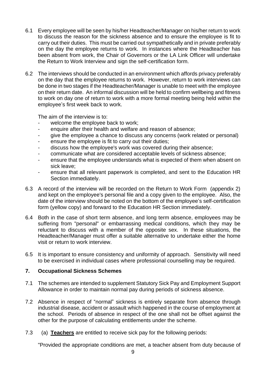- 6.1 Every employee will be seen by his/her Headteacher/Manager on his/her return to work to discuss the reason for the sickness absence and to ensure the employee is fit to carry out their duties. This must be carried out sympathetically and in private preferably on the day the employee returns to work. In instances where the Headteacher has been absent from work, the Chair of Governors or the LA Link Officer will undertake the Return to Work Interview and sign the self-certification form.
- 6.2 The interviews should be conducted in an environment which affords privacy preferably on the day that the employee returns to work. However, return to work interviews can be done in two stages if the Headteacher/Manager is unable to meet with the employee on their return date. An informal discussion will be held to confirm wellbeing and fitness to work on day one of return to work with a more formal meeting being held within the employee's first week back to work.

The aim of the interview is to:

- welcome the employee back to work;
- enquire after their health and welfare and reason of absence;
- give the employee a chance to discuss any concerns (work related or personal)
- ensure the employee is fit to carry out their duties;
- discuss how the employee's work was covered during their absence;
- communicate what are considered acceptable levels of sickness absence;
- ensure that the employee understands what is expected of them when absent on sick leave;
- ensure that all relevant paperwork is completed, and sent to the Education HR Section immediately.
- 6.3 A record of the interview will be recorded on the Return to Work Form (appendix 2) and kept on the employee's personal file and a copy given to the employee. Also, the date of the interview should be noted on the bottom of the employee's self-certification form (yellow copy) and forward to the Education HR Section immediately.
- 6.4 Both in the case of short term absence, and long term absence, employees may be suffering from "personal" or embarrassing medical conditions, which they may be reluctant to discuss with a member of the opposite sex. In these situations, the Headteacher/Manager must offer a suitable alternative to undertake either the home visit or return to work interview.
- 6.5 It is important to ensure consistency and uniformity of approach. Sensitivity will need to be exercised in individual cases where professional counselling may be required.

### **7. Occupational Sickness Schemes**

- 7.1 The schemes are intended to supplement Statutory Sick Pay and Employment Support Allowance in order to maintain normal pay during periods of sickness absence.
- 7.2 Absence in respect of "normal" sickness is entirely separate from absence through industrial disease, accident or assault which happened in the course of employment at the school. Periods of absence in respect of the one shall not be offset against the other for the purpose of calculating entitlements under the scheme.
- 7.3 (a) **Teachers** are entitled to receive sick pay for the following periods:

"Provided the appropriate conditions are met, a teacher absent from duty because of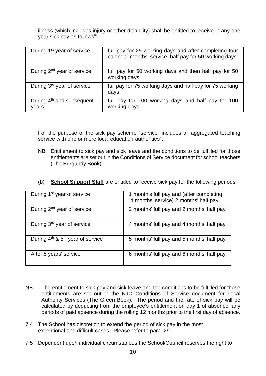illness (which includes injury or other disability) shall be entitled to receive in any one year sick pay as follows":

| During 1 <sup>st</sup> year of service         | full pay for 25 working days and after completing four<br>calendar months' service, half pay for 50 working days |
|------------------------------------------------|------------------------------------------------------------------------------------------------------------------|
| During 2 <sup>nd</sup> year of service         | full pay for 50 working days and then half pay for 50<br>working days                                            |
| During 3 <sup>rd</sup> year of service         | full pay for 75 working days and half pay for 75 working<br>days                                                 |
| During 4 <sup>th</sup> and subsequent<br>years | full pay for 100 working days and half pay for 100<br>working days.                                              |

For the purpose of the sick pay scheme "service" includes all aggregated teaching service with one or more local education authorities".

- NB Entitlement to sick pay and sick leave and the conditions to be fulfilled for those entitlements are set out in the Conditions of Service document for school teachers (The Burgundy Book).
- (b) **School Support Staff** are entitled to receive sick pay for the following periods:

| During 1 <sup>st</sup> year of service | 1 month's full pay and (after completing<br>4 months' service) 2 months' half pay |
|----------------------------------------|-----------------------------------------------------------------------------------|
| During 2 <sup>nd</sup> year of service | 2 months' full pay and 2 months' half pay                                         |
| During 3rd year of service             | 4 months' full pay and 4 months' half pay                                         |
| During $4th$ & $5th$ year of service   | 5 months' full pay and 5 months' half pay                                         |
| After 5 years' service                 | 6 months' full pay and 6 months' half pay                                         |

- NB The entitlement to sick pay and sick leave and the conditions to be fulfilled for those entitlements are set out in the NJC Conditions of Service document for Local Authority Services (The Green Book). The period and the rate of sick pay will be calculated by deducting from the employee's entitlement on day 1 of absence, any periods of paid absence during the rolling 12 months prior to the first day of absence.
- 7.4 The School has discretion to extend the period of sick pay in the most exceptional and difficult cases. Please refer to para. 29.
- 7.5 Dependent upon individual circumstances the School/Council reserves the right to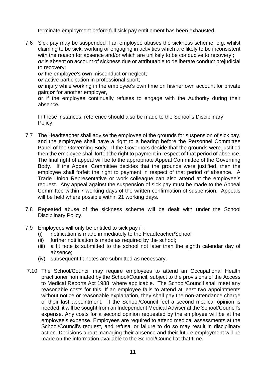terminate employment before full sick pay entitlement has been exhausted.

7.6 Sick pay may be suspended if an employee abuses the sickness scheme, e.g. whilst claiming to be sick, working or engaging in activities which are likely to be inconsistent with the reason for absence and/or which are unlikely to be conducive to recovery ; *or* is absent on account of sickness due or attributable to deliberate conduct prejudicial to recovery;

*or* the employee's own misconduct or neglect;

*or* active participation in professional sport;

*or* injury while working in the employee's own time on his/her own account for private gain;*or* for another employer,

**or** if the employee continually refuses to engage with the Authority during their absence**.**

In these instances, reference should also be made to the School's Disciplinary Policy.

- 7.7 The Headteacher shall advise the employee of the grounds for suspension of sick pay, and the employee shall have a right to a hearing before the Personnel Committee Panel of the Governing Body. If the Governors decide that the grounds were justified then the employee shall forfeit the right to payment in respect of that period of absence. The final right of appeal will be to the appropriate Appeal Committee of the Governing Body. If the Appeal Committee decides that the grounds were justified, then the employee shall forfeit the right to payment in respect of that period of absence. A Trade Union Representative or work colleague can also attend at the employee's request. Any appeal against the suspension of sick pay must be made to the Appeal Committee within 7 working days of the written confirmation of suspension. Appeals will be held where possible within 21 working days.
- 7.8 Repeated abuse of the sickness scheme will be dealt with under the School Disciplinary Policy.
- 7.9 Employees will only be entitled to sick pay if :
	- (i) notification is made immediately to the Headteacher/School;
	- (ii) further notification is made as required by the school;
	- (iii) a fit note is submitted to the school not later than the eighth calendar day of absence;
	- (iv) subsequent fit notes are submitted as necessary.
- 7.10 The School/Council may require employees to attend an Occupational Health practitioner nominated by the School/Council, subject to the provisions of the Access to Medical Reports Act 1988, where applicable. The School/Council shall meet any reasonable costs for this. If an employee fails to attend at least two appointments without notice or reasonable explanation, they shall pay the non-attendance charge of their last appointment. If the School/Council feel a second medical opinion is needed, it will be sought from an Independent Medical Adviser at the School/Council's expense. Any costs for a second opinion requested by the employee will be at the employee's expense. Employees are required to attend medical assessments at the School/Council's request, and refusal or failure to do so may result in disciplinary action. Decisions about managing their absence and their future employment will be made on the information available to the School/Council at that time.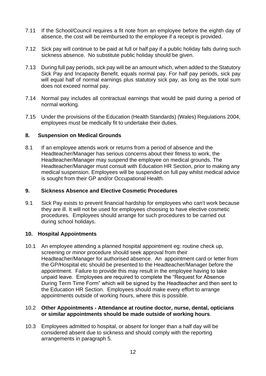- 7.11 If the School/Council requires a fit note from an employee before the eighth day of absence, the cost will be reimbursed to the employee if a receipt is provided.
- 7.12 Sick pay will continue to be paid at full or half pay if a public holiday falls during such sickness absence. No substitute public holiday should be given.
- 7.13 During full pay periods, sick pay will be an amount which, when added to the Statutory Sick Pay and Incapacity Benefit, equals normal pay. For half pay periods, sick pay will equal half of normal earnings plus statutory sick pay, as long as the total sum does not exceed normal pay.
- 7.14 Normal pay includes all contractual earnings that would be paid during a period of normal working.
- 7.15 Under the provisions of the Education (Health Standards) (Wales) Regulations 2004, employees must be medically fit to undertake their duties.

#### **8. Suspension on Medical Grounds**

8.1 If an employee attends work or returns from a period of absence and the Headteacher/Manager has serious concerns about their fitness to work, the Headteacher/Manager may suspend the employee on medical grounds. The Headteacher/Manager must consult with Education HR Section, prior to making any medical suspension. Employees will be suspended on full pay whilst medical advice is sought from their GP and/or Occupational Health.

#### **9. Sickness Absence and Elective Cosmetic Procedures**

9.1 Sick Pay exists to prevent financial hardship for employees who can't work because they are ill. It will not be used for employees choosing to have elective cosmetic procedures. Employees should arrange for such procedures to be carried out during school holidays.

#### **10. Hospital Appointments**

10.1 An employee attending a planned hospital appointment eg: routine check up, screening or minor procedure should seek approval from their Headteacher/Manager for authorised absence. An appointment card or letter from the GP/Hospital etc should be presented to the Headteacher/Manager before the appointment. Failure to provide this may result in the employee having to take unpaid leave. Employees are required to complete the "Request for Absence During Term Time Form" which will be signed by the Headteacher and then sent to the Education HR Section. Employees should make every effort to arrange appointments outside of working hours, where this is possible.

#### 10.2 **Other Appointments - Attendance at routine doctor, nurse, dental, opticians or similar appointments should be made outside of working hours**.

10.3 Employees admitted to hospital, or absent for longer than a half day will be considered absent due to sickness and should comply with the reporting arrangements in paragraph 5.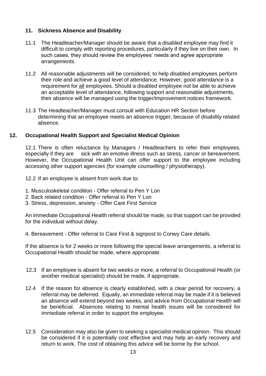#### **11. Sickness Absence and Disability**

- 11.1 The Headteacher/Manager should be aware that a disabled employee may find it difficult to comply with reporting procedures, particularly if they live on their own. In such cases, they should review the employees' needs and agree appropriate arrangements.
- 11.2 All reasonable adjustments will be considered, to help disabled employees perform their role and achieve a good level of attendance. However, good attendance is a requirement for all employees. Should a disabled employee not be able to achieve an acceptable level of attendance, following support and reasonable adjustments, their absence will be managed using the trigger/improvement notices framework.
- 11.3 The Headteacher/Manager must consult with Education HR Section before determining that an employee meets an absence trigger, because of disability related absence.

#### **12. Occupational Health Support and Specialist Medical Opinion**

12.1 There is often reluctance by Managers / Headteachers to refer their employees, especially if they are sick with an emotive illness such as stress, cancer or bereavement. However, the Occupational Health Unit can offer support to the employee including accessing other support agencies (for example counselling / physiotherapy).

12.2 If an employee is absent from work due to:

- 1. Musculoskeletal condition Offer referral to Pen Y Lon
- 2. Back related condition Offer referral to Pen Y Lon
- 3. Stress, depression, anxiety Offer Care First Service

An immediate Occupational Health referral should be made, so that support can be provided for the individual without delay.

4. Bereavement - Offer referral to Care First & signpost to Conwy Care details.

If the absence is for 2 weeks or more following the special leave arrangements, a referral to Occupational Health should be made, where appropriate.

- 12.3 If an employee is absent for two weeks or more, a referral to Occupational Health (or another medical specialist) should be made, if appropriate.
- 12.4 If the reason for absence is clearly established, with a clear period for recovery, a referral may be deferred. Equally, an immediate referral may be made if it is believed an absence will extend beyond two weeks, and advice from Occupational Health will be beneficial. Absences relating to mental health issues will be considered for immediate referral in order to support the employee.
- 12.5 Consideration may also be given to seeking a specialist medical opinion. This should be considered if it is potentially cost effective and may help an early recovery and return to work. The cost of obtaining this advice will be borne by the school.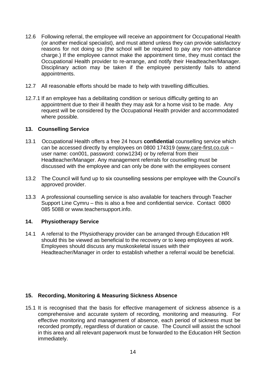- 12.6 Following referral, the employee will receive an appointment for Occupational Health (or another medical specialist), and must attend unless they can provide satisfactory reasons for not doing so (the school will be required to pay any non-attendance charge.) If the employee cannot make the appointment time, they must contact the Occupational Health provider to re-arrange, and notify their Headteacher/Manager. Disciplinary action may be taken if the employee persistently fails to attend appointments.
- 12.7 All reasonable efforts should be made to help with travelling difficulties.
- 12.7.1 If an employee has a debilitating condition or serious difficulty getting to an appointment due to their ill health they may ask for a home visit to be made. Any request will be considered by the Occupational Health provider and accommodated where possible.

#### **13. Counselling Service**

- 13.1 Occupational Health offers a free 24 hours **confidential** counselling service which can be accessed directly by employees on 0800 174319 [\(www.care-first.co.cuk](http://www.care-first.co.cuk/) – user name: con001, password: conw1234) or by referral from their Headteacher/Manager. Any management referrals for counselling must be discussed with the employee and can only be done with the employees consent
- 13.2 The Council will fund up to six counselling sessions per employee with the Council's approved provider.
- 13.3 A professional counselling service is also available for teachers through Teacher Support Line Cymru – this is also a free and confidential service. Contact 0800 085 5088 or www.teachersupport.info.

#### **14. Physiotherapy Service**

14.1 A referral to the Physiotherapy provider can be arranged through Education HR should this be viewed as beneficial to the recovery or to keep employees at work. Employees should discuss any muskoskeletal issues with their Headteacher/Manager in order to establish whether a referral would be beneficial.

#### **15. Recording, Monitoring & Measuring Sickness Absence**

15.1 It is recognised that the basis for effective management of sickness absence is a comprehensive and accurate system of recording, monitoring and measuring. For effective monitoring and management of absence, each period of sickness must be recorded promptly, regardless of duration or cause. The Council will assist the school in this area and all relevant paperwork must be forwarded to the Education HR Section immediately.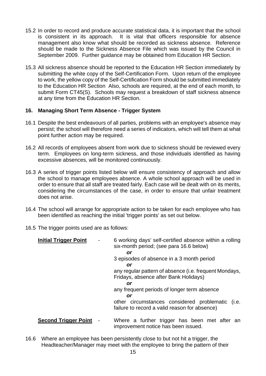- 15.2 In order to record and produce accurate statistical data, it is important that the school is consistent in its approach. It is vital that officers responsible for absence management also know what should be recorded as sickness absence. Reference should be made to the Sickness Absence File which was issued by the Council in September 2009. Further guidance may be obtained from Education HR Section.
- 15.3 All sickness absence should be reported to the Education HR Section immediately by submitting the white copy of the Self-Certification Form. Upon return of the employee to work, the yellow copy of the Self-Certification Form should be submitted immediately to the Education HR Section Also, schools are required, at the end of each month, to submit Form CT45(S). Schools may request a breakdown of staff sickness absence at any time from the Education HR Section.

#### **16. Managing Short Term Absence - Trigger System**

- 16.1 Despite the best endeavours of all parties, problems with an employee's absence may persist; the school will therefore need a series of indicators, which will tell them at what point further action may be required.
- 16.2 All records of employees absent from work due to sickness should be reviewed every term. Employees on long-term sickness, and those individuals identified as having excessive absences, will be monitored continuously.
- 16.3 A series of trigger points listed below will ensure consistency of approach and allow the school to manage employees absence. A whole school approach will be used in order to ensure that all staff are treated fairly. Each case will be dealt with on its merits, considering the circumstances of the case, in order to ensure that unfair treatment does not arise.
- 16.4 The school will arrange for appropriate action to be taken for each employee who has been identified as reaching the initial 'trigger points' as set out below.
- 16.5 The trigger points used are as follows:

| <b>Initial Trigger Point</b> |                          | 6 working days' self-certified absence within a rolling<br>six-month period; (see para 16.6 below) |
|------------------------------|--------------------------|----------------------------------------------------------------------------------------------------|
|                              |                          | or                                                                                                 |
|                              |                          | 3 episodes of absence in a 3 month period                                                          |
|                              |                          | or                                                                                                 |
|                              |                          | any regular pattern of absence (i.e. frequent Mondays,<br>Fridays, absence after Bank Holidays)    |
|                              |                          | or                                                                                                 |
|                              |                          | any frequent periods of longer term absence                                                        |
|                              |                          | or                                                                                                 |
|                              |                          | other circumstances considered problematic (i.e.<br>failure to record a valid reason for absence)  |
| <b>Second Trigger Point</b>  | $\overline{\phantom{a}}$ | Where a further trigger has been met after an<br>improvement notice has been issued.               |

16.6 Where an employee has been persistently close to but not hit a trigger, the Headteacher/Manager may meet with the employee to bring the pattern of their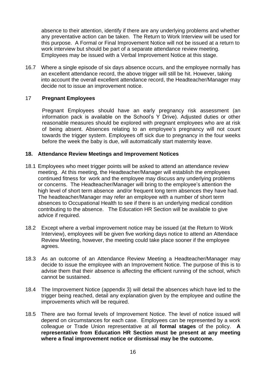absence to their attention, identify if there are any underlying problems and whether any preventative action can be taken. The Return to Work Interview will be used for this purpose. A Formal or Final Improvement Notice will not be issued at a return to work interview but should be part of a separate attendance review meeting. Employees may be issued with a Verbal Improvement Notice at this stage.

16.7 Where a single episode of six days absence occurs, and the employee normally has an excellent attendance record, the above trigger will still be hit. However, taking into account the overall excellent attendance record, the Headteacher/Manager may decide not to issue an improvement notice.

#### 17 **Pregnant Employees**

Pregnant Employees should have an early pregnancy risk assessment (an information pack is available on the School's Y Drive). Adjusted duties or other reasonable measures should be explored with pregnant employees who are at risk of being absent. Absences relating to an employee's pregnancy will not count towards the trigger system. Employees off sick due to pregnancy in the four weeks before the week the baby is due, will automatically start maternity leave.

#### **18. Attendance Review Meetings and Improvement Notices**

- 18.1 Employees who meet trigger points will be asked to attend an attendance review meeting. At this meeting, the Headteacher/Manager will establish the employees continued fitness for work and the employee may discuss any underlying problems or concerns. The Headteacher/Manager will bring to the employee's attention the high level of short term absence and/or frequent long term absences they have had. The headteacher/Manager may refer an employee with a number of short term absences to Occupational Health to see if there is an underlying medical condition contributing to the absence. The Education HR Section will be available to give advice if required.
- 18.2 Except where a verbal improvement notice may be issued (at the Return to Work Interview), employees will be given five working days notice to attend an Attendace Review Meeting, however, the meeting could take place sooner if the employee agrees.
- 18.3 As an outcome of an Attendance Review Meeting a Headteacher/Manager may decide to issue the employee with an Improvement Notice. The purpose of this is to advise them that their absence is affecting the efficient running of the school, which cannot be sustained.
- 18.4 The Improvement Notice (appendix 3) will detail the absences which have led to the trigger being reached, detail any explanation given by the employee and outline the improvements which will be required.
- 18.5 There are two formal levels of Improvement Notice. The level of notice issued will depend on circumstances for each case. Employees can be represented by a work colleague or Trade Union representative at all **formal stages** of the policy. **A representative from Education HR Section must be present at any meeting where a final improvement notice or dismissal may be the outcome.**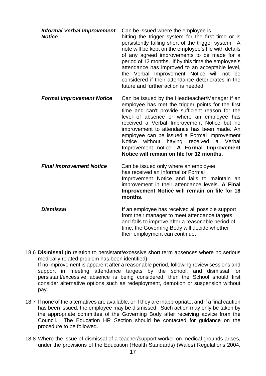| <b>Informal Verbal Improvement</b><br><b>Notice</b> | Can be issued where the employee is<br>hitting the trigger system for the first time or is<br>persistently falling short of the trigger system. A<br>note will be kept on the employee's file with details<br>of any agreed improvements to be made for a<br>period of 12 months. If by this time the employee's<br>attendance has improved to an acceptable level,<br>the Verbal Improvement Notice will not be<br>considered if their attendance deteriorates in the<br>future and further action is needed. |
|-----------------------------------------------------|----------------------------------------------------------------------------------------------------------------------------------------------------------------------------------------------------------------------------------------------------------------------------------------------------------------------------------------------------------------------------------------------------------------------------------------------------------------------------------------------------------------|
| <b>Formal Improvement Notice</b>                    | Can be issued by the Headteacher/Manager if an<br>employee has met the trigger points for the first<br>time and can't provide sufficient reason for the<br>level of absence or where an employee has<br>received a Verbal Improvement Notice but no<br>improvement to attendance has been made. An<br>employee can be issued a Formal Improvement<br>Notice without having received<br>a Verbal<br>Improvement notice. A Formal Improvement<br>Notice will remain on file for 12 months.                       |
| <b>Final Improvement Notice</b>                     | Can be issued only where an employee<br>has received an Informal or Formal<br>Improvement Notice and fails to maintain an<br>improvement in their attendance levels. A Final<br>Improvement Notice will remain on file for 18<br>months.                                                                                                                                                                                                                                                                       |
| <b>Dismissal</b>                                    | If an employee has received all possible support<br>from their manager to meet attendance targets                                                                                                                                                                                                                                                                                                                                                                                                              |

18.6 **Dismissal** (In relation to persistant/excessive short term absences where no serious medically related problem has been identified). If no improvement is apparent after a reasonable period, following review sessions and support in meeting attendance targets by the school, and dismissal for persistant/excessive absence is being considered, then the School should first consider alternative options such as redeployment, demotion or suspension without pay.

and fails to improve after a reasonable period of time, the Governing Body will decide whether

their employment can continue.

- 18.7 If none of the alternatives are available, or if they are inappropriate, and if a final caution has been issued, the employee may be dismissed. Such action may only be taken by the appropriate committee of the Governing Body after receiving advice from the Council. The Education HR Section should be contacted for guidance on the procedure to be followed.
- 18.8 Where the issue of dismissal of a teacher/support worker on medical grounds arises, under the provisions of the Education (Health Standards) (Wales) Regulations 2004,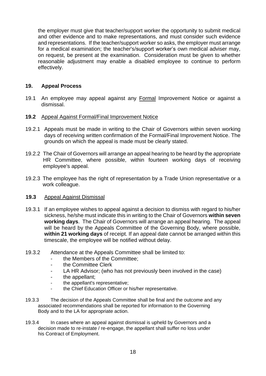the employer must give that teacher/support worker the opportunity to submit medical and other evidence and to make representations, and must consider such evidence and representations. If the teacher/support worker so asks, the employer must arrange for a medical examination; the teacher's/support worker's own medical adviser may, on request, be present at the examination. Consideration must be given to whether reasonable adjustment may enable a disabled employee to continue to perform effectively.

#### **19. Appeal Process**

- 19.1 An employee may appeal against any Formal Improvement Notice or against a dismissal.
- **19.2** Appeal Against Formal/Final Improvement Notice
- 19.2.1 Appeals must be made in writing to the Chair of Governors within seven working days of receiving written confirmation of the Formal/Final Improvement Notice. The grounds on which the appeal is made must be clearly stated.
- 19.2.2 The Chair of Governors will arrange an appeal hearing to be heard by the appropriate HR Committee, where possible, within fourteen working days of receiving employee's appeal.
- 19.2.3 The employee has the right of representation by a Trade Union representative or a work colleague.
- **19.3** Appeal Against Dismissal
- 19.3.1 If an employee wishes to appeal against a decision to dismiss with regard to his/her sickness, he/she must indicate this in writing to the Chair of Governors **within seven working days**. The Chair of Governors will arrange an appeal hearing. The appeal will be heard by the Appeals Committee of the Governing Body, where possible, **within 21 working days** of receipt. If an appeal date cannot be arranged within this timescale, the employee will be notified without delay.
- 19.3.2 Attendance at the Appeals Committee shall be limited to:
	- the Members of the Committee:
	- the Committee Clerk
	- LA HR Advisor; (who has not previously been involved in the case)
	- the appellant:
	- the appellant's representative;
	- the Chief Education Officer or his/her representative.
- 19.3.3 The decision of the Appeals Committee shall be final and the outcome and any associated recommendations shall be reported for information to the Governing Body and to the LA for appropriate action.
- 19.3.4 In cases where an appeal against dismissal is upheld by Governors and a decision made to re-instate / re-engage, the appellant shall suffer no loss under his Contract of Employment.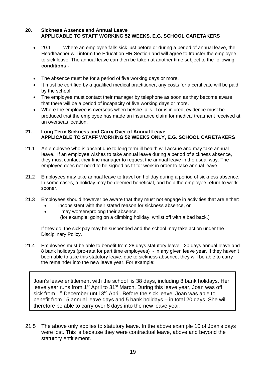#### **20. Sickness Absence and Annual Leave APPLICABLE TO STAFF WORKING 52 WEEKS, E.G. SCHOOL CARETAKERS**

- 20.1 Where an employee falls sick just before or during a period of annual leave, the Headteacher will inform the Education HR Section and will agree to transfer the employee to sick leave. The annual leave can then be taken at another time subject to the following **conditions:-**
- The absence must be for a period of five working days or more.
- It must be certified by a qualified medical practitioner, any costs for a certificate will be paid by the school
- The employee must contact their manager by telephone as soon as they become aware that there will be a period of incapacity of five working days or more.
- Where the employee is overseas when he/she falls ill or is injured, evidence must be produced that the employee has made an insurance claim for medical treatment received at an overseas location.

#### **21. Long Term Sickness and Carry Over of Annual Leave APPLICABLE TO STAFF WORKING 52 WEEKS ONLY, E.G. SCHOOL CARETAKERS**

- 21.1 An employee who is absent due to long term ill health will accrue and may take annual leave. If an employee wishes to take annual leave during a period of sickness absence, they must contact their line manager to request the annual leave in the usual way. The employee does not need to be signed as fit for work in order to take annual leave.
- 21.2 Employees may take annual leave to travel on holiday during a period of sickness absence. In some cases, a holiday may be deemed beneficial, and help the employee return to work sooner.
- 21.3 Employees should however be aware that they must not engage in activities that are either:
	- inconsistent with their stated reason for sickness absence, or
	- may worsen/prolong their absence. (for example: going on a climbing holiday, whilst off with a bad back.)

If they do, the sick pay may be suspended and the school may take action under the Disciplinary Policy.

21.4 Employees must be able to benefit from 28 days statutory leave - 20 days annual leave and 8 bank holidays (pro-rata for part time employees) - in any given leave year. If they haven't been able to take this statutory leave, due to sickness absence, they will be able to carry the remainder into the new leave year. For example:

Joan's leave entitlement with the school is 38 days, including 8 bank holidays. Her leave year runs from 1<sup>st</sup> April to 31<sup>st</sup> March. During this leave year, Joan was off sick from 1<sup>st</sup> December until 3<sup>rd</sup> April. Before the sick leave, Joan was able to benefit from 15 annual leave days and 5 bank holidays – in total 20 days. She will therefore be able to carry over 8 days into the new leave year.

21.5 The above only applies to statutory leave. In the above example 10 of Joan's days were lost. This is because they were contractual leave, above and beyond the statutory entitlement.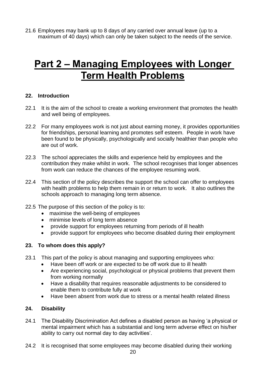21.6 Employees may bank up to 8 days of any carried over annual leave (up to a maximum of 40 days) which can only be taken subject to the needs of the service.

# **Part 2 – Managing Employees with Longer Term Health Problems**

#### **22. Introduction**

- 22.1 It is the aim of the school to create a working environment that promotes the health and well being of employees.
- 22.2 For many employees work is not just about earning money, it provides opportunities for friendships, personal learning and promotes self esteem. People in work have been found to be physically, psychologically and socially healthier than people who are out of work.
- 22.3 The school appreciates the skills and experience held by employees and the contribution they make whilst in work. The school recognises that longer absences from work can reduce the chances of the employee resuming work.
- 22.4 This section of the policy describes the support the school can offer to employees with health problems to help them remain in or return to work. It also outlines the schools approach to managing long term absence.
- 22.5 The purpose of this section of the policy is to:
	- maximise the well-being of employees
	- minimise levels of long term absence
	- provide support for employees returning from periods of ill health
	- provide support for employees who become disabled during their employment

#### **23. To whom does this apply?**

- 23.1 This part of the policy is about managing and supporting employees who:
	- Have been off work or are expected to be off work due to ill health
	- Are experiencing social, psychological or physical problems that prevent them from working normally
	- Have a disability that requires reasonable adjustments to be considered to enable them to contribute fully at work
	- Have been absent from work due to stress or a mental health related illness

### **24. Disability**

- 24.1 The Disability Discrimination Act defines a disabled person as having 'a physical or mental impairment which has a substantial and long term adverse effect on his/her ability to carry out normal day to day activities'.
- 24.2 It is recognised that some employees may become disabled during their working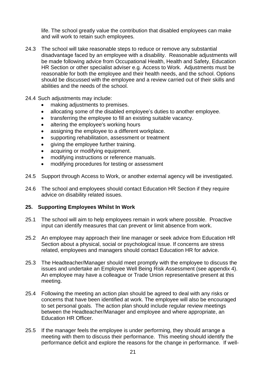life. The school greatly value the contribution that disabled employees can make and will work to retain such employees.

- 24.3 The school will take reasonable steps to reduce or remove any substantial disadvantage faced by an employee with a disability. Reasonable adjustments will be made following advice from Occupational Health, Health and Safety, Education HR Section or other specialist adviser e.g. Access to Work. Adjustments must be reasonable for both the employee and their health needs, and the school. Options should be discussed with the employee and a review carried out of their skills and abilities and the needs of the school.
- 24.4 Such adjustments may include:
	- making adjustments to premises.
	- allocating some of the disabled employee's duties to another employee.
	- transferring the employee to fill an existing suitable vacancy.
	- altering the employee's working hours
	- assigning the employee to a different workplace.
	- supporting rehabilitation, assessment or treatment
	- giving the employee further training.
	- acquiring or modifying equipment.
	- modifying instructions or reference manuals.
	- modifying procedures for testing or assessment
- 24.5 Support through Access to Work, or another external agency will be investigated.
- 24.6 The school and employees should contact Education HR Section if they require advice on disability related issues.

#### **25. Supporting Employees Whilst In Work**

- 25.1 The school will aim to help employees remain in work where possible. Proactive input can identify measures that can prevent or limit absence from work.
- 25.2 An employee may approach their line manager or seek advice from Education HR Section about a physical, social or psychological issue. If concerns are stress related, employees and managers should contact Education HR for advice.
- 25.3 The Headteacher/Manager should meet promptly with the employee to discuss the issues and undertake an Employee Well Being Risk Assessment (see appendix 4). An employee may have a colleague or Trade Union representative present at this meeting.
- 25.4 Following the meeting an action plan should be agreed to deal with any risks or concerns that have been identified at work. The employee will also be encouraged to set personal goals. The action plan should include regular review meetings between the Headteacher/Manager and employee and where appropriate, an Education HR Officer.
- 25.5 If the manager feels the employee is under performing, they should arrange a meeting with them to discuss their performance. This meeting should identify the performance deficit and explore the reasons for the change in performance. If well-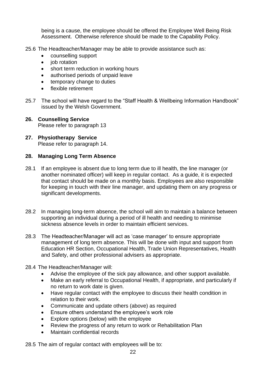being is a cause, the employee should be offered the Employee Well Being Risk Assessment. Otherwise reference should be made to the Capability Policy.

- 25.6 The Headteacher/Manager may be able to provide assistance such as:
	- counselling support
	- iob rotation
	- short term reduction in working hours
	- authorised periods of unpaid leave
	- temporary change to duties
	- flexible retirement
- 25.7 The school will have regard to the "Staff Health & Wellbeing Information Handbook" issued by the Welsh Government.
- **26. Counselling Service** Please refer to paragraph 13
- **27. Physiotherapy Service** Please refer to paragraph 14.

#### **28. Managing Long Term Absence**

- 28.1 If an employee is absent due to long term due to ill health, the line manager (or another nominated officer) will keep in regular contact. As a guide, it is expected that contact should be made on a monthly basis. Employees are also responsible for keeping in touch with their line manager, and updating them on any progress or significant developments.
- 28.2 In managing long-term absence, the school will aim to maintain a balance between supporting an individual during a period of ill health and needing to minimise sickness absence levels in order to maintain efficient services.
- 28.3 The Headteacher/Manager will act as 'case manager' to ensure appropriate management of long term absence. This will be done with input and support from Education HR Section, Occupational Health, Trade Union Representatives, Health and Safety, and other professional advisers as appropriate.
- 28.4 The Headteacher/Manager will:
	- Advise the employee of the sick pay allowance, and other support available.
	- Make an early referral to Occupational Health, if appropriate, and particularly if no return to work date is given.
	- Have regular contact with the employee to discuss their health condition in relation to their work.
	- Communicate and update others (above) as required
	- Ensure others understand the employee's work role
	- Explore options (below) with the employee
	- Review the progress of any return to work or Rehabilitation Plan
	- Maintain confidential records

28.5 The aim of regular contact with employees will be to: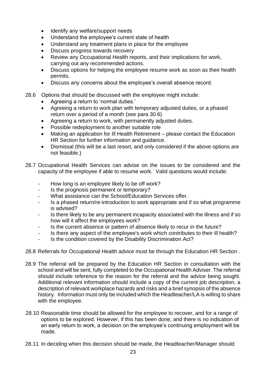- Identify any welfare/support needs
- Understand the employee's current state of health
- Understand any treatment plans in place for the employee
- Discuss progress towards recovery
- Review any Occupational Health reports, and their implications for work, carrying out any recommended actions.
- Discuss options for helping the employee resume work as soon as their health permits.
- Discuss any concerns about the employee's overall absence record.
- 28.6 Options that should be discussed with the employee might include:
	- Agreeing a return to 'normal duties.'
	- Agreeing a return to work plan with temporary adjusted duties, or a phased return over a period of a month (see para 30.6)
	- Agreeing a return to work, with permanently adjusted duties.
	- Possible redeployment to another suitable role
	- Making an application for Ill Health Retirement please contact the Education HR Section for further information and guidance.
	- Dismissal (this will be a last resort, and only considered if the above options are not feasible.)
- 28.7 Occupational Health Services can advise on the issues to be considered and the capacity of the employee if able to resume work. Valid questions would include:
	- How long is an employee likely to be off work?
	- Is the prognosis permanent or temporary?
	- What assistance can the School/Education Services offer.
	- Is a phased return/re-introduction to work appropriate and if so what programme is advised?
	- Is there likely to be any permanent incapacity associated with the illness and if so how will it affect the employees work?
	- Is the current absence or pattern of absence likely to recur in the future?
	- Is there any aspect of the employee's work which contributes to their ill health?
	- Is the condition covered by the Disability Discrimination Act?
- 28.8 Referrals for Occupational Health advice must be through the Education HR Section .
- 28.9 The referral will be prepared by the Education HR Section in consultation with the school and will be sent, fully completed to the Occupational Health Adviser. The referral should include reference to the reason for the referral and the advice being sought. Additional relevant information should include a copy of the current job description, a description of relevant workplace hazards and risks and a brief synopsis of the absence history. Information must only be included which the Headteacher/LA is willing to share with the employee.
- 28.10 Reasonable time should be allowed for the employee to recover, and for a range of options to be explored. However, if this has been done, and there is no indication of an early return to work, a decision on the employee's continuing employment will be made.
- 28.11 In deciding when this decision should be made, the Headteacher/Manager should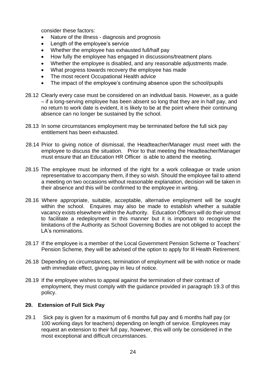consider these factors:

- Nature of the illness diagnosis and prognosis
- Length of the employee's service
- Whether the employee has exhausted full/half pay
- How fully the employee has engaged in discussions/treatment plans
- Whether the employee is disabled, and any reasonable adjustments made.
- What progress towards recovery the employee has made
- The most recent Occupational Health advice
- The impact of the employee's continuing absence upon the school/pupils
- 28.12 Clearly every case must be considered on an individual basis. However, as a guide – if a long-serving employee has been absent so long that they are in half pay, and no return to work date is evident, it is likely to be at the point where their continuing absence can no longer be sustained by the school.
- 28.13 In some circumstances employment may be terminated before the full sick pay entitlement has been exhausted.
- 28.14 Prior to giving notice of dismissal, the Headteacher/Manager must meet with the employee to discuss the situation. Prior to that meeting the Headteacher/Manager must ensure that an Education HR Officer is able to attend the meeting.
- 28.15 The employee must be informed of the right for a work colleague or trade union representative to accompany them, if they so wish. Should the employee fail to attend a meeting on two occasions without reasonable explanation, decision will be taken in their absence and this will be confirmed to the employee in writing.
- 28.16 Where appropriate, suitable, acceptable, alternative employment will be sought within the school. Enquires may also be made to establish whether a suitable vacancy exists elsewhere within the Authority. Education Officers will do their utmost to facilitate a redeployment in this manner but it is important to recognise the limitations of the Authority as School Governing Bodies are not obliged to accept the LA's nominations.
- 28.17 If the employee is a member of the Local Government Pension Scheme or Teachers' Pension Scheme, they will be advised of the option to apply for Ill Health Retirement.
- 26.18 Depending on circumstances, termination of employment will be with notice or made with immediate effect, giving pay in lieu of notice.
- 28.19 If the employee wishes to appeal against the termination of their contract of employment, they must comply with the guidance provided in paragraph 19.3 of this policy.

#### **29. Extension of Full Sick Pay**

29.1 Sick pay is given for a maximum of 6 months full pay and 6 months half pay (or 100 working days for teachers) depending on length of service. Employees may request an extension to their full pay, however, this will only be considered in the most exceptional and difficult circumstances.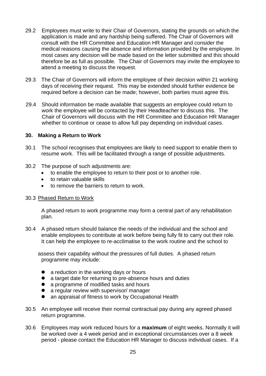- 29.2 Employees must write to their Chair of Governors, stating the grounds on which the application is made and any hardship being suffered. The Chair of Governors will consult with the HR Committee and Education HR Manager and consider the medical reasons causing the absence and information provided by the employee. In most cases any decision will be made based on the letter submitted and this should therefore be as full as possible. The Chair of Governors may invite the employee to attend a meeting to discuss the request.
- 29.3 The Chair of Governors will inform the employee of their decision within 21 working days of receiving their request. This may be extended should further evidence be required before a decision can be made; however, both parties must agree this.
- 29.4 Should information be made available that suggests an employee could return to work the employee will be contacted by their Headteacher to discuss this. The Chair of Governors will discuss with the HR Committee and Education HR Manager whether to continue or cease to allow full pay depending on individual cases.

#### **30. Making a Return to Work**

- 30.1 The school recognises that employees are likely to need support to enable them to resume work. This will be facilitated through a range of possible adjustments.
- 30.2 The purpose of such adjustments are:
	- to enable the employee to return to their post or to another role.
	- to retain valuable skills
	- to remove the barriers to return to work.

#### 30.3 Phased Return to Work

A phased return to work programme may form a central part of any rehabilitation plan.

30.4 A phased return should balance the needs of the individual and the school and enable employees to contribute at work before being fully fit to carry out their role. It can help the employee to re-acclimatise to the work routine and the school to

assess their capability without the pressures of full duties. A phased return programme may include:

- a reduction in the working days or hours
- a target date for returning to pre-absence hours and duties
- a programme of modified tasks and hours
- a regular review with supervisor/ manager
- an appraisal of fitness to work by Occupational Health
- 30.5 An employee will receive their normal contractual pay during any agreed phased return programme.
- 30.6 Employees may work reduced hours for a **maximum** of eight weeks. Normally it will be worked over a 4 week period and in exceptional circumstances over a 8 week period - please contact the Education HR Manager to discuss individual cases. If a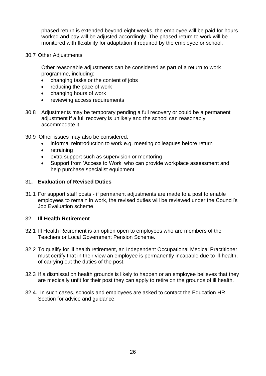phased return is extended beyond eight weeks, the employee will be paid for hours worked and pay will be adjusted accordingly. The phased return to work will be monitored with flexibility for adaptation if required by the employee or school.

#### 30.7 Other Adjustments

Other reasonable adjustments can be considered as part of a return to work programme, including:

- changing tasks or the content of jobs
- reducing the pace of work
- changing hours of work
- reviewing access requirements
- 30.8 Adjustments may be temporary pending a full recovery or could be a permanent adjustment if a full recovery is unlikely and the school can reasonably accommodate it.
- 30.9 Other issues may also be considered:
	- informal reintroduction to work e.g. meeting colleagues before return
	- retraining
	- extra support such as supervision or mentoring
	- Support from 'Access to Work' who can provide workplace assessment and help purchase specialist equipment.

#### 31**. Evaluation of Revised Duties**

31.1 For support staff posts - if permanent adjustments are made to a post to enable employees to remain in work, the revised duties will be reviewed under the Council's Job Evaluation scheme.

#### 32. **Ill Health Retirement**

- 32.1 Ill Health Retirement is an option open to employees who are members of the Teachers or Local Government Pension Scheme.
- 32.2 To qualify for ill health retirement, an Independent Occupational Medical Practitioner must certify that in their view an employee is permanently incapable due to ill-health, of carrying out the duties of the post.
- 32.3 If a dismissal on health grounds is likely to happen or an employee believes that they are medically unfit for their post they can apply to retire on the grounds of ill health.
- 32.4. In such cases, schools and employees are asked to contact the Education HR Section for advice and guidance.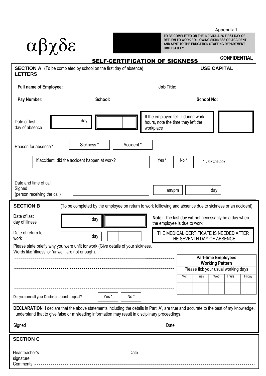Appendix 1

**CONFIDENTIAL**

| $\alpha\beta\chi\delta\epsilon$                                                            | TO BE COMPLETED ON THE INDIVIDUAL 3 FINST<br><b>RETURN TO WORK FOLLOWING SICKNESS OR A</b><br>AND SENT TO THE EDUCATION STAFFING DEPAR<br><b>IMMEDIATELY</b> |              |
|--------------------------------------------------------------------------------------------|--------------------------------------------------------------------------------------------------------------------------------------------------------------|--------------|
|                                                                                            | <b>SELF-CERTIFICATION OF SICKNESS</b>                                                                                                                        | <b>CONFI</b> |
| <b>SECTION A</b> (To be completed by school on the first day of absence)<br><b>LETTERS</b> | <b>USE CAPITAL</b>                                                                                                                                           |              |
| <b>Full name of Employee:</b>                                                              | <b>Job Title:</b>                                                                                                                                            |              |

**YELLOW COPY TO BE COMPLETED ON THE INDIVIDUAL'S FIRST DAY OF RETURN TO WORK FOLLOWING SICKNESS OR ACCIDENT AND SENT TO THE EDUCATION STAFFING DEPARTMENT IMMEDIATELY**

| <b>Full name of Employee:</b>                                                                                                                                                                                                              |                                               |         |            | <b>Job Title:</b>                                                                                         |                                                                       |                                     |                                                      |        |
|--------------------------------------------------------------------------------------------------------------------------------------------------------------------------------------------------------------------------------------------|-----------------------------------------------|---------|------------|-----------------------------------------------------------------------------------------------------------|-----------------------------------------------------------------------|-------------------------------------|------------------------------------------------------|--------|
| Pay Number:                                                                                                                                                                                                                                |                                               | School: |            |                                                                                                           |                                                                       | <b>School No:</b>                   |                                                      |        |
| Date of first<br>day of absence                                                                                                                                                                                                            | day                                           |         |            | If the employee fell ill during work<br>hours, note the time they left the<br>workplace                   |                                                                       |                                     |                                                      |        |
| Reason for absence?                                                                                                                                                                                                                        | Sickness <sup>*</sup>                         |         | Accident * |                                                                                                           |                                                                       |                                     |                                                      |        |
|                                                                                                                                                                                                                                            | If accident, did the accident happen at work? |         |            | Yes*                                                                                                      | No <sup>*</sup>                                                       |                                     | * Tick the box                                       |        |
| Date and time of call<br>Signed<br>(person receiving the call)                                                                                                                                                                             |                                               |         |            | am/pm                                                                                                     |                                                                       |                                     | day                                                  |        |
| <b>SECTION B</b>                                                                                                                                                                                                                           |                                               |         |            | (To be completed by the employee on return to work folllowing and absence due to sickness or an accident) |                                                                       |                                     |                                                      |        |
| Date of last<br>day of illness                                                                                                                                                                                                             | day                                           |         |            | Note: The last day will not necessarily be a day when<br>the employee is due to work                      |                                                                       |                                     |                                                      |        |
| Date of return to<br>work                                                                                                                                                                                                                  | day                                           |         |            |                                                                                                           | THE MEDICAL CERTIFICATE IS NEEDED AFTER<br>THE SEVENTH DAY OF ABSENCE |                                     |                                                      |        |
| Please state briefly why you were unfit for work (Give details of your sickness.<br>Words like 'illness' or 'unwell' are not enough).                                                                                                      |                                               |         |            |                                                                                                           |                                                                       |                                     |                                                      |        |
|                                                                                                                                                                                                                                            |                                               |         |            |                                                                                                           |                                                                       |                                     | <b>Part-time Employees</b><br><b>Working Pattern</b> |        |
|                                                                                                                                                                                                                                            |                                               |         |            |                                                                                                           |                                                                       | Please tick your usual working days |                                                      |        |
|                                                                                                                                                                                                                                            |                                               |         |            |                                                                                                           | Mon                                                                   | Tues   Wed   Thurs                  |                                                      | Friday |
| Did you consult your Doctor or attend hospital?                                                                                                                                                                                            |                                               | Yes*    | No*        |                                                                                                           |                                                                       |                                     |                                                      |        |
| DECLARATION I declare that the above statements including the details in Part 'A', are true and accurate to the best of my knowledge.<br>I understand that to give false or misleading information may result in disciplinary proceedings. |                                               |         |            |                                                                                                           |                                                                       |                                     |                                                      |        |
| Signed                                                                                                                                                                                                                                     |                                               |         |            | Date                                                                                                      |                                                                       |                                     |                                                      |        |
| <b>SECTION C</b>                                                                                                                                                                                                                           |                                               |         |            |                                                                                                           |                                                                       |                                     |                                                      |        |
| Headteacher's<br>signature<br>Comments                                                                                                                                                                                                     |                                               |         | Date       |                                                                                                           |                                                                       |                                     |                                                      |        |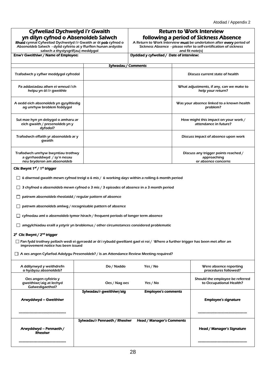| <b>Cyfweliad Dychwelyd i'r Gwaith</b> |
|---------------------------------------|
| yn dilyn cyfnod o Absenoldeb Salwch   |

Rhaid cynnal Cyfweliad Dychwelyd i'r Gwaith ar ôl pob cyfnod o Absenoldeb Salwch - dylid cyfeirio at y ffurflen hunan ardystio

#### Return to Work Interview following a period of Sickness Absence

A Return to Work Interview must be undertaken after every period of Sickness Absence - please refer to self-certification of sickness

salwch a thystysgrif(au) meddygol Enw'r Gweithiwr / Name of Employee:

| Dyddiad y cyfweliad / Date of interview: |  |
|------------------------------------------|--|
| and fit note(s)                          |  |
|                                          |  |

|                                                                                                | Sylwadau / Comments |                                                                            |  |  |  |  |
|------------------------------------------------------------------------------------------------|---------------------|----------------------------------------------------------------------------|--|--|--|--|
| Trafodwch y cyflwr meddygol cyfredol                                                           |                     | Discuss current state of health                                            |  |  |  |  |
| Pa addasiadau allwn ei wneud i'ch<br>helpu yn ôl i'r gweithle                                  |                     | What adjustments, if any, can we make to<br>help your return?              |  |  |  |  |
| A oedd eich absenoldeb yn gysylltiedig<br>ag unrhyw broblem feddygol                           |                     | Was your absence linked to a known health<br>problem?                      |  |  |  |  |
| Sut mae hyn yn debygol o amharu ar<br>eich gwaith / presenoldeb yn y<br>dyfodol?               |                     | How might this impact on your work /<br>attendance in future?              |  |  |  |  |
| Trafodwch effaith yr absenoldeb ar y<br>qwaith                                                 |                     | Discuss impact of absence upon work                                        |  |  |  |  |
| Trafodwch unrhyw bwyntiau trothwy<br>a gyrrhaeddwyd / sy'n nesau<br>neu bryderon am absenoldeb |                     | Discuss any trigger points reached /<br>approaching<br>or absence concerns |  |  |  |  |

#### Clic Bwynt 1<sup>af</sup> / 1<sup>st</sup> trigger

 $\Box$  6 diwrnod gwaith mewn cyfnod treigl o 6 mis / 6 working days within a rolling 6 month period

 $\Box$  3 chyfnod o absenoldeb mewn cyfnod o 3 mis / 3 episodes of absence in a 3 month period

 $\Box$  patrwm absenoldeb rheolaidd / regular pattern of absence

 $\Box$  patrwm absenoldeb amlwg / recognisable pattern of absence

 $\Box$  cyfnodau aml o absenoldeb tymor hirach / frequent periods of longer term absence

 $\Box$  amgylchiadau eraill a ystyrir yn broblemus / other circumstances considered problematic

#### 2" Clic Bwynt / 2<sup>nd</sup> trigger

 Pan fydd trothwy pellach wedi ei gyrraedd ar ôl i rybudd gwelliant gael ei roi / Where a further trigger has been met after an improvement notice has been issued

A oes angen Cyfarfod Adolygu Presenoldeb? / Is an Attendance Review Meeting required?

| A ddilynwyd y weithdrefn<br>o hysbysu absenoldeb?                  | Do / Naddo                    | Yes / No                   | Were absence reporting<br>procedures followed?             |
|--------------------------------------------------------------------|-------------------------------|----------------------------|------------------------------------------------------------|
| Oes angen cyfeirio y<br>qweithiwr/aig at lechyd<br>Galwedigaethol? | Oes / Nag oes                 | Yes / No                   | Should the employee be referred<br>to Occupational Health? |
|                                                                    | Sylwadau'r gweithiwr/aig      | <b>Employee's comments</b> |                                                            |
| Arwyddwyd – Gweithiwr                                              |                               |                            | <b>Employee's signature</b>                                |
|                                                                    |                               |                            |                                                            |
|                                                                    | Sylwadau'r Pennaeth / Rheolwr | Head / Manager's Comments  |                                                            |
| Arwyddwyd - Pennaeth /<br><b>Rheolwr</b>                           |                               |                            | Head / Manager's Signature                                 |
|                                                                    |                               |                            |                                                            |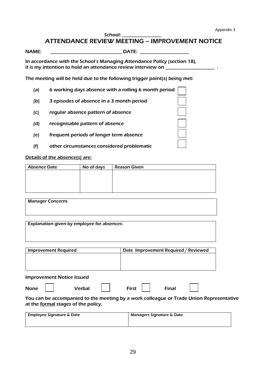School:

## ATTENDANCE REVIEW MEETING – IMPROVEMENT NOTICE

NAME: THE DATE:

In accordance with the School's Managing Attendance Policy (section 18), it is my intention to hold an attendance review interview on \_\_\_\_\_\_\_\_\_\_\_\_\_

The meeting will be held due to the following trigger point(s) being met:

- (a) 6 working days absence with a rolling 6 month period
- (b) 3 episodes of absence in a 3 month period
- (c) regular absence pattern of absence
- (d) recognisable pattern of absence
- (e) frequent periods of longer term absence
- (f) other circumstances considered problematic

#### Details of the absence(s) are:

| Absence Date | No of days | <b>Reason Given</b> |  |  |  |
|--------------|------------|---------------------|--|--|--|
|              |            |                     |  |  |  |
|              |            |                     |  |  |  |
|              |            |                     |  |  |  |
|              |            |                     |  |  |  |
|              |            |                     |  |  |  |

| <b>Manager Concerns</b>                     |                                                                                         |
|---------------------------------------------|-----------------------------------------------------------------------------------------|
|                                             |                                                                                         |
| Explanation given by employee for absences: |                                                                                         |
|                                             |                                                                                         |
|                                             |                                                                                         |
| <b>Improvement Required</b>                 | Date Improvement Required / Reviewed                                                    |
|                                             |                                                                                         |
|                                             |                                                                                         |
| <b>Improvement Notice Issued</b>            |                                                                                         |
| <b>Verbal</b><br><b>None</b>                | <b>First</b><br><b>Final</b>                                                            |
| at the formal stages of the policy.         | You can be accompanied to the meeting by a work colleague or Trade Union Representative |
| <b>Employee Signature &amp; Date</b>        | Managers Signature & Date                                                               |